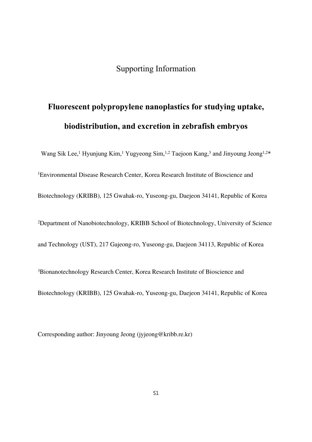## Supporting Information

## **Fluorescent polypropylene nanoplastics for studying uptake, biodistribution, and excretion in zebrafish embryos**

Wang Sik Lee,<sup>1</sup> Hyunjung Kim,<sup>1</sup> Yugyeong Sim,<sup>1,2</sup> Taejoon Kang,<sup>3</sup> and Jinyoung Jeong<sup>1,2\*</sup> <sup>1</sup>Environmental Disease Research Center, Korea Research Institute of Bioscience and Biotechnology (KRIBB), 125 Gwahak-ro, Yuseong-gu, Daejeon 34141, Republic of Korea <sup>2</sup>Department of Nanobiotechnology, KRIBB School of Biotechnology, University of Science and Technology (UST), 217 Gajeong-ro, Yuseong-gu, Daejeon 34113, Republic of Korea

<sup>3</sup>Bionanotechnology Research Center, Korea Research Institute of Bioscience and

Biotechnology (KRIBB), 125 Gwahak-ro, Yuseong-gu, Daejeon 34141, Republic of Korea

Corresponding author: Jinyoung Jeong (jyjeong@kribb.re.kr)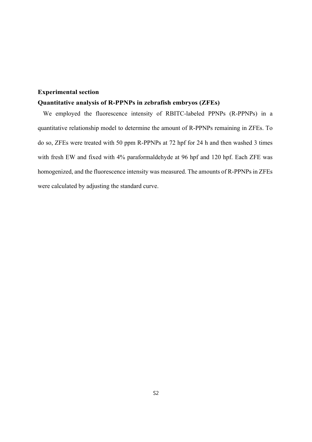## **Experimental section**

## **Quantitative analysis of R-PPNPs in zebrafish embryos (ZFEs)**

We employed the fluorescence intensity of RBITC-labeled PPNPs (R-PPNPs) in a quantitative relationship model to determine the amount of R-PPNPs remaining in ZFEs. To do so, ZFEs were treated with 50 ppm R-PPNPs at 72 hpf for 24 h and then washed 3 times with fresh EW and fixed with 4% paraformaldehyde at 96 hpf and 120 hpf. Each ZFE was homogenized, and the fluorescence intensity was measured. The amounts of R-PPNPs in ZFEs were calculated by adjusting the standard curve.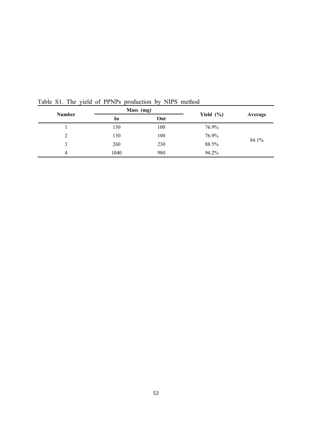| <b>Number</b> | Mass (mg) |     |               |         |
|---------------|-----------|-----|---------------|---------|
|               | In        | Out | Yield $(\% )$ | Average |
|               | 130       | 100 | 76.9%         | 84.1%   |
| 2             | 130       | 100 | 76.9%         |         |
| 3             | 260       | 230 | 88.5%         |         |
| 4             | 1040      | 980 | 94.2%         |         |

Table S1. The yield of PPNPs production by NIPS method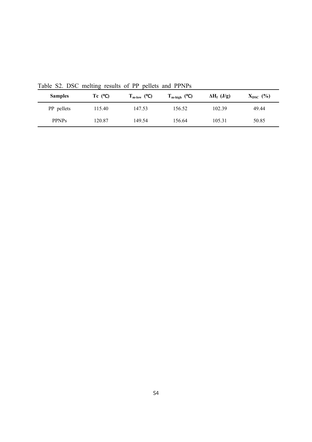| <b>Samples</b> | Tc $(^{\circ}C)$ | $T_{m\text{-low}}$ (°C) | $T_{m\text{-high}}$ (°C) | $\Delta H_f$ (J/g) | $X_{DSC}$ (%) |
|----------------|------------------|-------------------------|--------------------------|--------------------|---------------|
| PP pellets     | 115.40           | 147.53                  | 156.52                   | 102.39             | 49.44         |
| <b>PPNPs</b>   | 120.87           | 149.54                  | 156.64                   | 105.31             | 50.85         |

Table S2. DSC melting results of PP pellets and PPNPs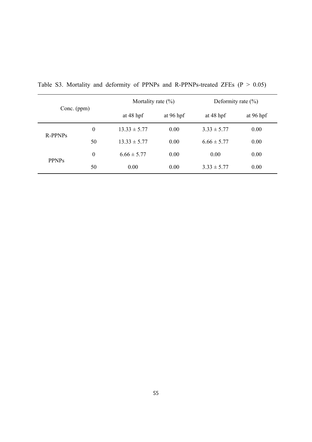| Conc. (ppm)         |                  | Mortality rate $(\% )$ |             | Deformity rate $(\% )$ |           |
|---------------------|------------------|------------------------|-------------|------------------------|-----------|
|                     |                  | at $48$ hpf            | at $96$ hpf | at $48$ hpf            | at 96 hpf |
| R-PPNP <sub>S</sub> | $\boldsymbol{0}$ | $13.33 \pm 5.77$       | 0.00        | $3.33 \pm 5.77$        | 0.00      |
|                     | 50               | $13.33 \pm 5.77$       | 0.00        | $6.66 \pm 5.77$        | 0.00      |
| <b>PPNPs</b>        | $\boldsymbol{0}$ | $6.66 \pm 5.77$        | 0.00        | 0.00                   | 0.00      |
|                     | 50               | 0.00                   | 0.00        | $3.33 \pm 5.77$        | 0.00      |

Table S3. Mortality and deformity of PPNPs and R-PPNPs-treated ZFEs  $(P > 0.05)$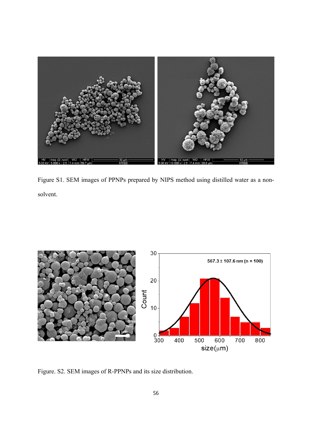

Figure S1. SEM images of PPNPs prepared by NIPS method using distilled water as a nonsolvent.



Figure. S2. SEM images of R-PPNPs and its size distribution.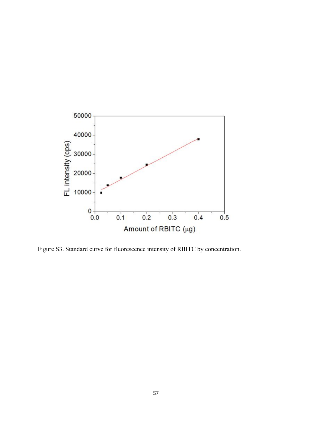

Figure S3. Standard curve for fluorescence intensity of RBITC by concentration.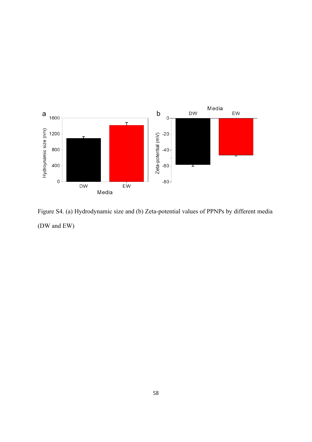

Figure S4. (a) Hydrodynamic size and (b) Zeta-potential values of PPNPs by different media (DW and EW)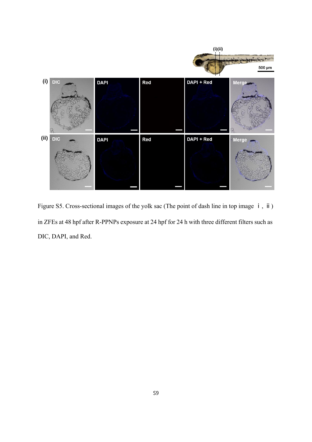

Figure S5. Cross-sectional images of the yolk sac (The point of dash line in top image  $\mathbf{i}$ , ii) in ZFEs at 48 hpf after R-PPNPs exposure at 24 hpf for 24 h with three different filters such as DIC, DAPI, and Red.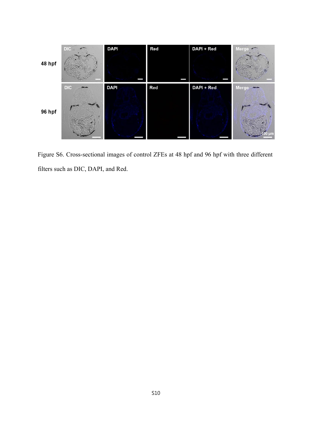

Figure S6. Cross-sectional images of control ZFEs at 48 hpf and 96 hpf with three different filters such as DIC, DAPI, and Red.